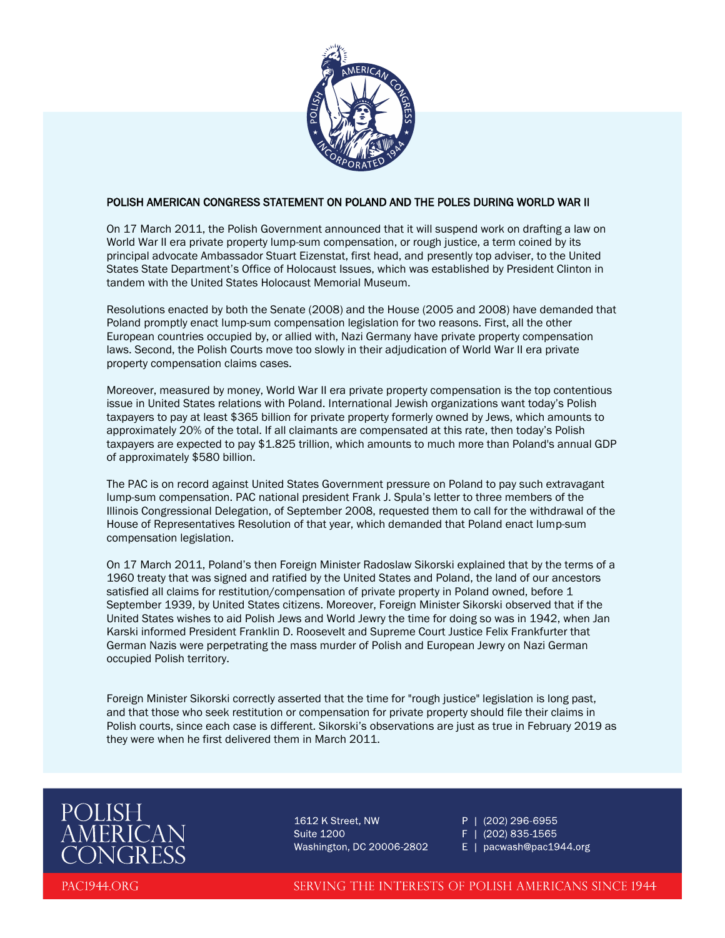

## POLISH AMERICAN CONGRESS STATEMENT ON POLAND AND THE POLES DURING WORLD WAR II

On 17 March 2011, the Polish Government announced that it will suspend work on drafting a law on World War II era private property lump-sum compensation, or rough justice, a term coined by its principal advocate Ambassador Stuart Eizenstat, first head, and presently top adviser, to the United States State Department's Office of Holocaust Issues, which was established by President Clinton in tandem with the United States Holocaust Memorial Museum.

Resolutions enacted by both the Senate (2008) and the House (2005 and 2008) have demanded that Poland promptly enact lump-sum compensation legislation for two reasons. First, all the other European countries occupied by, or allied with, Nazi Germany have private property compensation laws. Second, the Polish Courts move too slowly in their adjudication of World War II era private property compensation claims cases.

Moreover, measured by money, World War II era private property compensation is the top contentious issue in United States relations with Poland. International Jewish organizations want today's Polish taxpayers to pay at least \$365 billion for private property formerly owned by Jews, which amounts to approximately 20% of the total. If all claimants are compensated at this rate, then today's Polish taxpayers are expected to pay \$1.825 trillion, which amounts to much more than Poland's annual GDP of approximately \$580 billion.

The PAC is on record against United States Government pressure on Poland to pay such extravagant lump-sum compensation. PAC national president Frank J. Spula's letter to three members of the Illinois Congressional Delegation, of September 2008, requested them to call for the withdrawal of the House of Representatives Resolution of that year, which demanded that Poland enact lump-sum compensation legislation.

On 17 March 2011, Poland's then Foreign Minister Radoslaw Sikorski explained that by the terms of a 1960 treaty that was signed and ratified by the United States and Poland, the land of our ancestors satisfied all claims for restitution/compensation of private property in Poland owned, before 1 September 1939, by United States citizens. Moreover, Foreign Minister Sikorski observed that if the United States wishes to aid Polish Jews and World Jewry the time for doing so was in 1942, when Jan Karski informed President Franklin D. Roosevelt and Supreme Court Justice Felix Frankfurter that German Nazis were perpetrating the mass murder of Polish and European Jewry on Nazi German occupied Polish territory.

Foreign Minister Sikorski correctly asserted that the time for "rough justice" legislation is long past, and that those who seek restitution or compensation for private property should file their claims in Polish courts, since each case is different. Sikorski's observations are just as true in February 2019 as they were when he first delivered them in March 2011.



1612 K Street, NW **Suite 1200** Washington, DC 20006-2802

P | (202) 296-6955 F | (202) 835-1565

E | pacwash@pac1944.org

PAC1944.ORG

SERVING THE INTERESTS OF POLISH AMERICANS SINCE 1944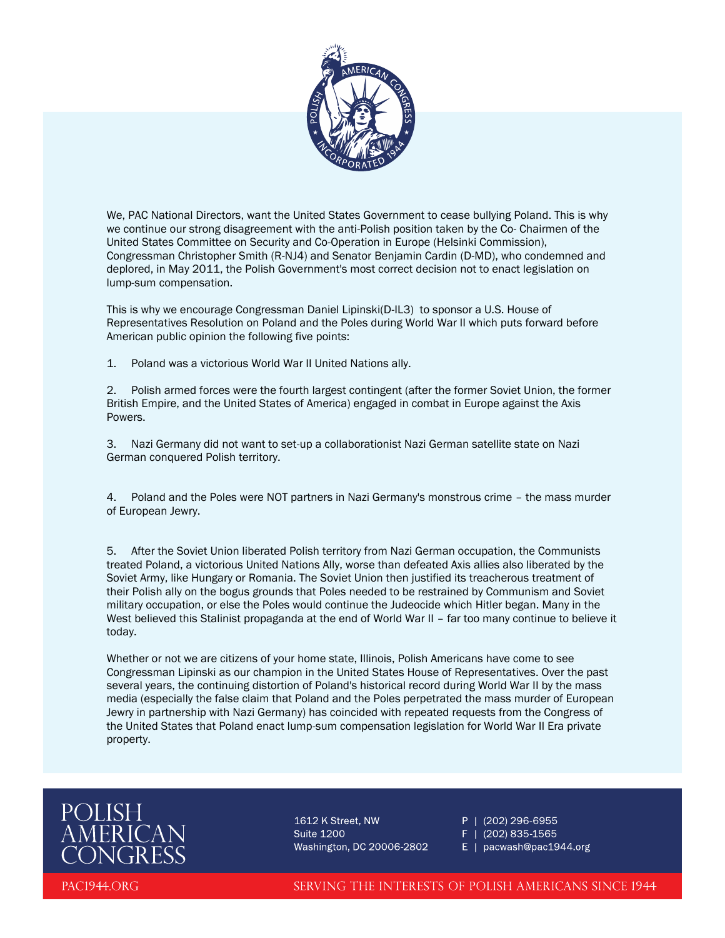

We, PAC National Directors, want the United States Government to cease bullying Poland. This is why we continue our strong disagreement with the anti-Polish position taken by the Co- Chairmen of the United States Committee on Security and Co-Operation in Europe (Helsinki Commission), Congressman Christopher Smith (R-NJ4) and Senator Benjamin Cardin (D-MD), who condemned and deplored, in May 2011, the Polish Government's most correct decision not to enact legislation on lump-sum compensation.

This is why we encourage Congressman Daniel Lipinski(D-IL3) to sponsor a U.S. House of Representatives Resolution on Poland and the Poles during World War II which puts forward before American public opinion the following five points:

1. Poland was a victorious World War II United Nations ally.

2. Polish armed forces were the fourth largest contingent (after the former Soviet Union, the former British Empire, and the United States of America) engaged in combat in Europe against the Axis Powers.

3. Nazi Germany did not want to set-up a collaborationist Nazi German satellite state on Nazi German conquered Polish territory.

4. Poland and the Poles were NOT partners in Nazi Germany's monstrous crime – the mass murder of European Jewry.

5. After the Soviet Union liberated Polish territory from Nazi German occupation, the Communists treated Poland, a victorious United Nations Ally, worse than defeated Axis allies also liberated by the Soviet Army, like Hungary or Romania. The Soviet Union then justified its treacherous treatment of their Polish ally on the bogus grounds that Poles needed to be restrained by Communism and Soviet military occupation, or else the Poles would continue the Judeocide which Hitler began. Many in the West believed this Stalinist propaganda at the end of World War II - far too many continue to believe it today.

Whether or not we are citizens of your home state, Illinois, Polish Americans have come to see Congressman Lipinski as our champion in the United States House of Representatives. Over the past several years, the continuing distortion of Poland's historical record during World War II by the mass media (especially the false claim that Poland and the Poles perpetrated the mass murder of European Jewry in partnership with Nazi Germany) has coincided with repeated requests from the Congress of the United States that Poland enact lump-sum compensation legislation for World War II Era private property.



1612 K Street, NW **Suite 1200** Washington, DC 20006-2802 P | (202) 296-6955 F | (202) 835-1565

E | pacwash@pac1944.org

PAC1944.ORG

SERVING THE INTERESTS OF POLISH AMERICANS SINCE 1944